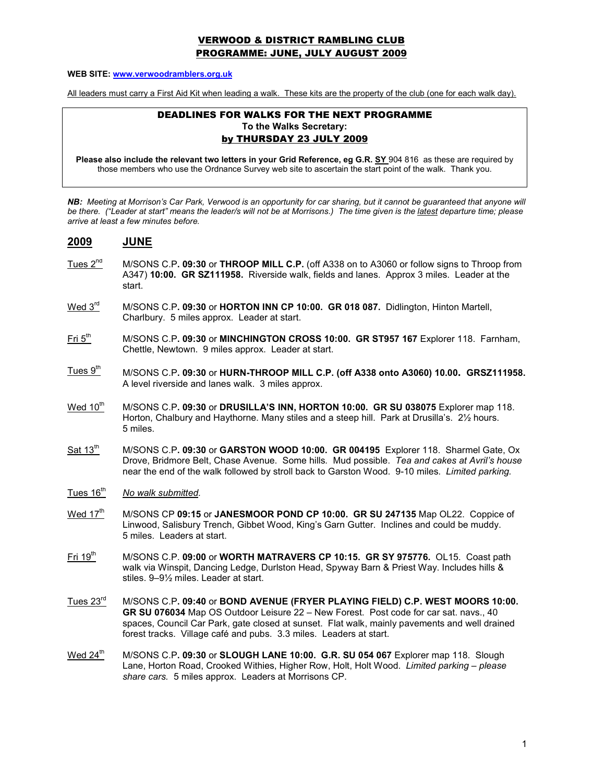## VERWOOD & DISTRICT RAMBLING CLUB PROGRAMME: JUNE, JULY AUGUST 2009

#### WEB SITE: www.verwoodramblers.org.uk

All leaders must carry a First Aid Kit when leading a walk. These kits are the property of the club (one for each walk day).

### DEADLINES FOR WALKS FOR THE NEXT PROGRAMME To the Walks Secretary: by THURSDAY 23 JULY 2009

Please also include the relevant two letters in your Grid Reference, eg G.R. SY 904 816 as these are required by those members who use the Ordnance Survey web site to ascertain the start point of the walk. Thank you.

NB: Meeting at Morrison's Car Park, Verwood is an opportunity for car sharing, but it cannot be guaranteed that anyone will be there. ("Leader at start" means the leader/s will not be at Morrisons.) The time given is the latest departure time; please arrive at least a few minutes before.

#### 2009 JUNE

- Tues 2<sup>nd</sup> M/SONS C.P. 09:30 or THROOP MILL C.P. (off A338 on to A3060 or follow signs to Throop from A347) 10:00. GR SZ111958. Riverside walk, fields and lanes. Approx 3 miles. Leader at the start.
- Wed 3<sup>rd</sup> M/SONS C.P. 09:30 or HORTON INN CP 10:00. GR 018 087. Didlington, Hinton Martell, Charlbury. 5 miles approx. Leader at start.
- Fri 5<sup>th</sup> M/SONS C.P. 09:30 or MINCHINGTON CROSS 10:00. GR ST957 167 Explorer 118. Farnham, Chettle, Newtown. 9 miles approx. Leader at start.
- $T$ ues  $9<sup>th</sup>$  M/SONS C.P. 09:30 or HURN-THROOP MILL C.P. (off A338 onto A3060) 10.00. GRSZ111958. A level riverside and lanes walk. 3 miles approx.
- Wed  $10^{th}$  M/SONS C.P. 09:30 or DRUSILLA'S INN, HORTON 10:00. GR SU 038075 Explorer map 118. Horton, Chalbury and Haythorne. Many stiles and a steep hill. Park at Drusilla's. 2½ hours. 5 miles.
- $\text{Sat 13}^{\text{th}}$  M/SONS C.P. 09:30 or GARSTON WOOD 10:00. GR 004195 Explorer 118. Sharmel Gate, Ox Drove, Bridmore Belt, Chase Avenue. Some hills. Mud possible. Tea and cakes at Avril's house near the end of the walk followed by stroll back to Garston Wood. 9-10 miles. Limited parking.
- Tues  $16<sup>th</sup>$  No walk submitted.
- Wed  $17<sup>th</sup>$  M/SONS CP 09:15 or JANESMOOR POND CP 10:00. GR SU 247135 Map OL22. Coppice of Linwood, Salisbury Trench, Gibbet Wood, King's Garn Gutter. Inclines and could be muddy. 5 miles. Leaders at start.
- Fri 19<sup>th</sup> M/SONS C.P. 09:00 or WORTH MATRAVERS CP 10:15. GR SY 975776. OL15. Coast path walk via Winspit, Dancing Ledge, Durlston Head, Spyway Barn & Priest Way. Includes hills & stiles. 9–9½ miles. Leader at start.
- Tues 23<sup>rd</sup> M/SONS C.P. 09:40 or BOND AVENUE (FRYER PLAYING FIELD) C.P. WEST MOORS 10:00. GR SU 076034 Map OS Outdoor Leisure 22 – New Forest. Post code for car sat. navs., 40 spaces, Council Car Park, gate closed at sunset. Flat walk, mainly pavements and well drained forest tracks. Village café and pubs. 3.3 miles. Leaders at start.
- Wed  $24^{\text{th}}$  M/SONS C.P. 09:30 or SLOUGH LANE 10:00. G.R. SU 054 067 Explorer map 118. Slough Lane, Horton Road, Crooked Withies, Higher Row, Holt, Holt Wood. Limited parking - please share cars. 5 miles approx. Leaders at Morrisons CP.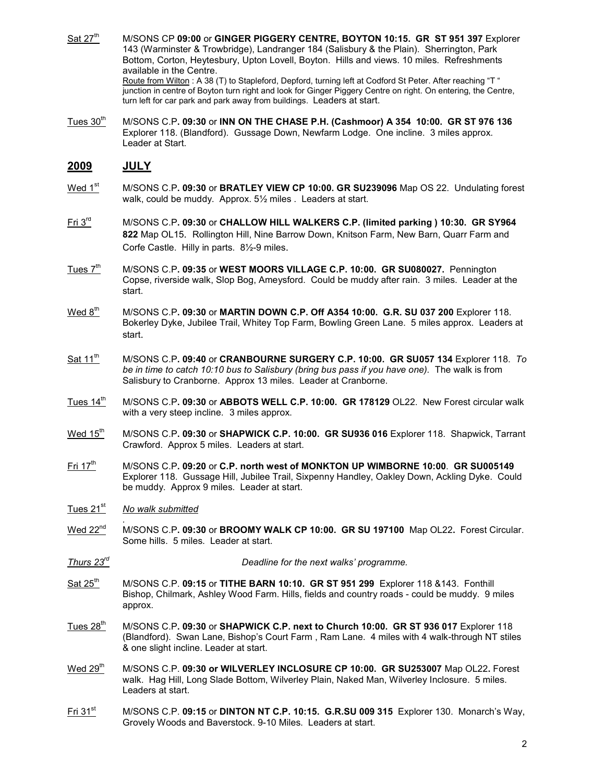- Sat  $27<sup>th</sup>$  M/SONS CP 09:00 or GINGER PIGGERY CENTRE, BOYTON 10:15. GR ST 951 397 Explorer 143 (Warminster & Trowbridge), Landranger 184 (Salisbury & the Plain). Sherrington, Park Bottom, Corton, Heytesbury, Upton Lovell, Boyton. Hills and views. 10 miles. Refreshments available in the Centre. Route from Wilton : A 38 (T) to Stapleford, Depford, turning left at Codford St Peter. After reaching "T" junction in centre of Boyton turn right and look for Ginger Piggery Centre on right. On entering, the Centre, turn left for car park and park away from buildings. Leaders at start.
- Tues  $30<sup>th</sup>$  M/SONS C.P. 09:30 or INN ON THE CHASE P.H. (Cashmoor) A 354 10:00. GR ST 976 136 Explorer 118. (Blandford). Gussage Down, Newfarm Lodge. One incline. 3 miles approx. Leader at Start.

# 2009 JULY

- Wed 1<sup>st</sup> M/SONS C.P. 09:30 or BRATLEY VIEW CP 10:00. GR SU239096 Map OS 22. Undulating forest walk, could be muddy. Approx. 5½ miles . Leaders at start.
- Fri 3<sup>rd</sup> M/SONS C.P. 09:30 or CHALLOW HILL WALKERS C.P. (limited parking ) 10:30. GR SY964 822 Map OL15. Rollington Hill, Nine Barrow Down, Knitson Farm, New Barn, Quarr Farm and Corfe Castle. Hilly in parts. 8½-9 miles.
- Tues 7<sup>th</sup> M/SONS C.P. 09:35 or WEST MOORS VILLAGE C.P. 10:00. GR SU080027. Pennington Copse, riverside walk, Slop Bog, Ameysford. Could be muddy after rain. 3 miles. Leader at the start.
- $\text{Wed } 8^{\text{th}}$  M/SONS C.P. 09:30 or MARTIN DOWN C.P. Off A354 10:00. G.R. SU 037 200 Explorer 118. Bokerley Dyke, Jubilee Trail, Whitey Top Farm, Bowling Green Lane. 5 miles approx. Leaders at start.
- Sat 11<sup>th</sup> M/SONS C.P. 09:40 or CRANBOURNE SURGERY C.P. 10:00. GR SU057 134 Explorer 118. To be in time to catch 10:10 bus to Salisbury (bring bus pass if you have one). The walk is from Salisbury to Cranborne. Approx 13 miles. Leader at Cranborne.
- Tues 14<sup>th</sup> M/SONS C.P. 09:30 or ABBOTS WELL C.P. 10:00. GR 178129 OL22. New Forest circular walk with a very steep incline. 3 miles approx.
- Wed 15<sup>th</sup> M/SONS C.P. 09:30 or SHAPWICK C.P. 10:00. GR SU936 016 Explorer 118. Shapwick, Tarrant Crawford. Approx 5 miles. Leaders at start.
- Fri  $17<sup>th</sup>$  M/SONS C.P. 09:20 or C.P. north west of MONKTON UP WIMBORNE 10:00. GR SU005149 Explorer 118. Gussage Hill, Jubilee Trail, Sixpenny Handley, Oakley Down, Ackling Dyke. Could be muddy. Approx 9 miles. Leader at start.
- Tues 21<sup>st</sup> No walk submitted
- . Wed 22<sup>nd</sup> M/SONS C.P. 09:30 or BROOMY WALK CP 10:00. GR SU 197100 Map OL22. Forest Circular. Some hills. 5 miles. Leader at start.
- Thurs 23<sup>rd</sup> **Deadline for the next walks' programme.**
- $Sat 25<sup>th</sup>$  M/SONS C.P. 09:15 or TITHE BARN 10:10. GR ST 951 299 Explorer 118 &143. Fonthill Bishop, Chilmark, Ashley Wood Farm. Hills, fields and country roads - could be muddy. 9 miles approx.
- Tues 28<sup>th</sup> M/SONS C.P. 09:30 or SHAPWICK C.P. next to Church 10:00. GR ST 936 017 Explorer 118 (Blandford). Swan Lane, Bishop's Court Farm , Ram Lane. 4 miles with 4 walk-through NT stiles & one slight incline. Leader at start.
- Wed 29<sup>th</sup> M/SONS C.P. 09:30 or WILVERLEY INCLOSURE CP 10:00. GR SU253007 Map OL22. Forest walk. Hag Hill, Long Slade Bottom, Wilverley Plain, Naked Man, Wilverley Inclosure. 5 miles. Leaders at start.
- $Fi 31<sup>st</sup>$  M/SONS C.P. 09:15 or DINTON NT C.P. 10:15. G.R.SU 009 315 Explorer 130. Monarch's Way, Grovely Woods and Baverstock. 9-10 Miles. Leaders at start.